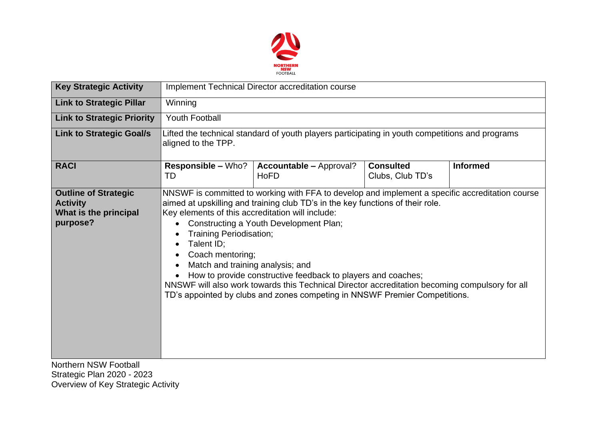

| <b>Key Strategic Activity</b>                                                                                | <b>Implement Technical Director accreditation course</b>                                                                                                                                                                                                                                                                                                                                                                                                                                                                                                                                                                                             |                                               |                                      |                 |  |
|--------------------------------------------------------------------------------------------------------------|------------------------------------------------------------------------------------------------------------------------------------------------------------------------------------------------------------------------------------------------------------------------------------------------------------------------------------------------------------------------------------------------------------------------------------------------------------------------------------------------------------------------------------------------------------------------------------------------------------------------------------------------------|-----------------------------------------------|--------------------------------------|-----------------|--|
| <b>Link to Strategic Pillar</b>                                                                              | Winning                                                                                                                                                                                                                                                                                                                                                                                                                                                                                                                                                                                                                                              |                                               |                                      |                 |  |
| <b>Link to Strategic Priority</b>                                                                            | <b>Youth Football</b>                                                                                                                                                                                                                                                                                                                                                                                                                                                                                                                                                                                                                                |                                               |                                      |                 |  |
| <b>Link to Strategic Goal/s</b>                                                                              | Lifted the technical standard of youth players participating in youth competitions and programs<br>aligned to the TPP.                                                                                                                                                                                                                                                                                                                                                                                                                                                                                                                               |                                               |                                      |                 |  |
| <b>RACI</b>                                                                                                  | <b>Responsible – Who?</b><br>TD                                                                                                                                                                                                                                                                                                                                                                                                                                                                                                                                                                                                                      | <b>Accountable - Approval?</b><br><b>HoFD</b> | <b>Consulted</b><br>Clubs, Club TD's | <b>Informed</b> |  |
| <b>Outline of Strategic</b><br><b>Activity</b><br>What is the principal<br>purpose?<br>Northern NSW Foothall | NNSWF is committed to working with FFA to develop and implement a specific accreditation course<br>aimed at upskilling and training club TD's in the key functions of their role.<br>Key elements of this accreditation will include:<br>Constructing a Youth Development Plan;<br><b>Training Periodisation;</b><br>Talent ID;<br>$\bullet$<br>Coach mentoring;<br>Match and training analysis; and<br>How to provide constructive feedback to players and coaches;<br>NNSWF will also work towards this Technical Director accreditation becoming compulsory for all<br>TD's appointed by clubs and zones competing in NNSWF Premier Competitions. |                                               |                                      |                 |  |

Northern NSW Football Strategic Plan 2020 - 2023 Overview of Key Strategic Activity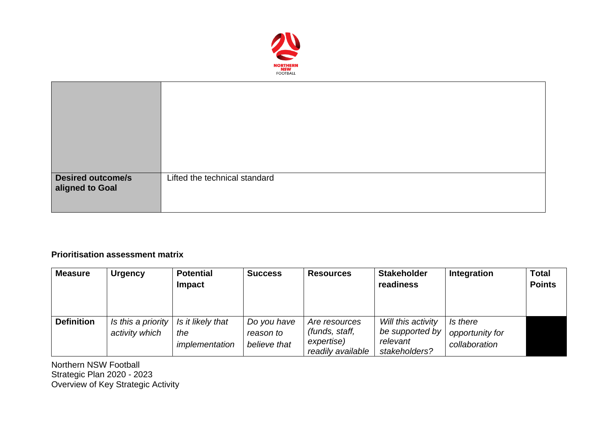

| <b>Desired outcome/s</b><br>aligned to Goal | Lifted the technical standard |
|---------------------------------------------|-------------------------------|

## **Prioritisation assessment matrix**

| <b>Measure</b>    | <b>Urgency</b>                       | <b>Potential</b><br><b>Impact</b>          | <b>Success</b>                           | <b>Resources</b>                                                   | <b>Stakeholder</b><br>readiness                                        | Integration                                  | <b>Total</b><br><b>Points</b> |
|-------------------|--------------------------------------|--------------------------------------------|------------------------------------------|--------------------------------------------------------------------|------------------------------------------------------------------------|----------------------------------------------|-------------------------------|
| <b>Definition</b> | Is this a priority<br>activity which | Is it likely that<br>the<br>implementation | Do you have<br>reason to<br>believe that | Are resources<br>(funds, staff,<br>expertise)<br>readily available | Will this activity<br>be supported by $ $<br>relevant<br>stakeholders? | Is there<br>opportunity for<br>collaboration |                               |

Northern NSW Football Strategic Plan 2020 - 2023 Overview of Key Strategic Activity